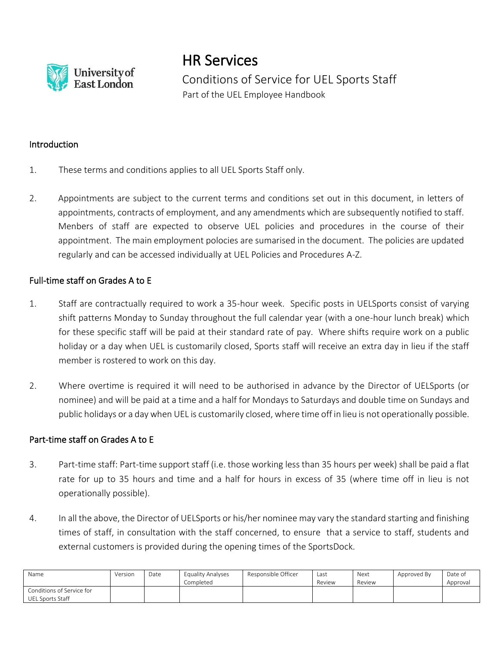

HR Services

Conditions of Service for UEL Sports Staff Part of the UEL Employee Handbook

## Introduction

- 1. These terms and conditions applies to all UEL Sports Staff only.
- 2. Appointments are subject to the current terms and conditions set out in this document, in letters of appointments, contracts of employment, and any amendments which are subsequently notified to staff. Menbers of staff are expected to observe UEL policies and procedures in the course of their appointment. The main employment polocies are sumarised in the document. The policies are updated regularly and can be accessed individually at UEL Policies and Procedures A-Z.

## Full-time staff on Grades A to E

- 1. Staff are contractually required to work a 35-hour week. Specific posts in UELSports consist of varying shift patterns Monday to Sunday throughout the full calendar year (with a one-hour lunch break) which for these specific staff will be paid at their standard rate of pay. Where shifts require work on a public holiday or a day when UEL is customarily closed, Sports staff will receive an extra day in lieu if the staff member is rostered to work on this day.
- 2. Where overtime is required it will need to be authorised in advance by the Director of UELSports (or nominee) and will be paid at a time and a half for Mondays to Saturdays and double time on Sundays and public holidays or a day when UEL is customarily closed, where time off in lieu is not operationally possible.

## Part-time staff on Grades A to E

- 3. Part-time staff: Part-time support staff (i.e. those working less than 35 hours per week) shall be paid a flat rate for up to 35 hours and time and a half for hours in excess of 35 (where time off in lieu is not operationally possible).
- 4. In all the above, the Director of UELSports or his/her nominee may vary the standard starting and finishing times of staff, in consultation with the staff concerned, to ensure that a service to staff, students and external customers is provided during the opening times of the SportsDock.

| Name                                                 | Version | Date | Equality Analyses<br>Completed | Responsible Officer | Last<br>Review | Next<br>Review | Approved By | Date of<br>Approval |
|------------------------------------------------------|---------|------|--------------------------------|---------------------|----------------|----------------|-------------|---------------------|
| Conditions of Service for<br><b>UEL Sports Staff</b> |         |      |                                |                     |                |                |             |                     |